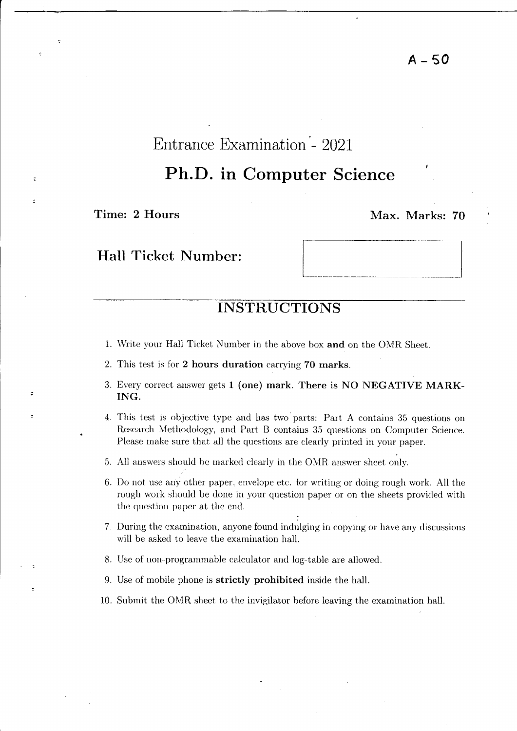# Entrance Examination '- 2021

# Ph.D. in Computer Science

Time: 2 Hours Max. Marks: 70

 $\overline{a}$ 

## Hall Ticket Number:

## **INSTRUCTIONS**

- 1. Write your Hall Ticket Number in the above box and on the OMR Sheet.
- 2. This test is for 2 hours duration carrying 70 marks.
- 3. Every correct answer gets 1 (one) mark. There is NO NEGATIVE MARK-ING.
- 4. This test is objective type and has two' parts: Part A contains 35 questions on Research Methodology, and Part B contains 35 questions on Computer Science. Please make sure that all the questions are clearly printed in your paper.
- 5. All answers should be marked clearly in the OMR answer sheet only.
- 6. Do not use any other paper, envelope etc. for writing or doing rough work. All the rough work should be done in your question paper or on the sheets provided with the question paper at the end.
- 7. During the examination, anyone found indulging in copying or have any discussions will be asked to leave the examination hall.
- 8. Use of non-programmable calculator and log-table are allowed.
- 9. Use of mobile phone is strictly prohibited inside the hall.
- 10. Submit the OMR sheet to the invigilator before leaving the examination hall.

A-50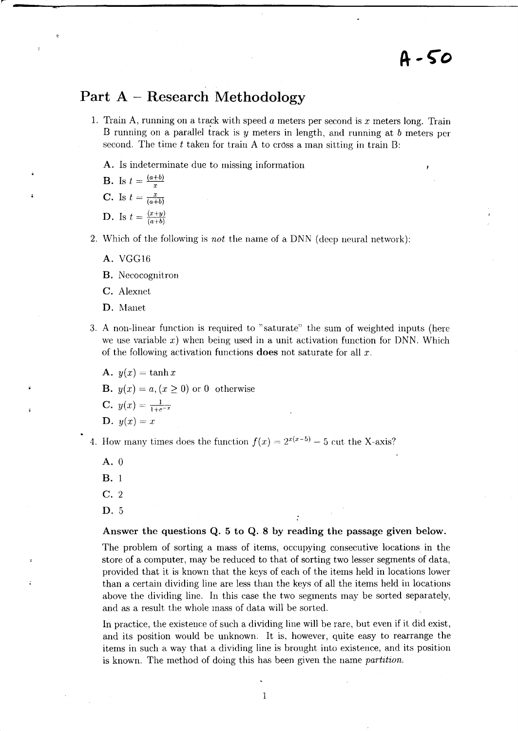## **Part A - Research Methodology**

- 1. Train A, running on a track with speed  $a$  meters per second is  $x$  meters long. Train 13 running on a parallel track is *y* meters in length, and running at *b* meters per second. The time  $t$  taken for train A to cross a man sitting in train  $B$ :
	- A. Is indeterminate due to missing information

**B.** Is 
$$
t = \frac{(a+b)}{x}
$$
  
\n**C.** Is  $t = \frac{x}{(a+b)}$   
\n**D.** Is  $t = \frac{(x+y)}{(a+b)}$ 

- 2. Which of the following is *not* the name of a DNN (deep neural network):
	- A. VGG16
	- B. Necocognitron
	- C. Alexnet
	- D. Manet
- 3. A non-linear function is required to "saturate" the sum of weighted inputs (here we use variable x) when being used in a unit activation function for DNN. Which of the following activation functions does not saturate for all *x.* 
	- A.  $y(x) = \tanh x$

**B.**  $y(x) = a, (x \ge 0)$  or 0 otherwise

C.  $y(x) = \frac{1}{1+e^{-x}}$ 

$$
D. \, y(x) = x
$$

4. How many times does the function  $f(x) = 2^{x(x-5)} - 5$  cut the X-axis?

- A. 0
- B. 1
- C. 2
- D. 5

Answer the questions Q. 5 to Q. 8 by reading the passage given below.

The problem of sorting a mass of items, occupying consecutive locations in the store of a computer, may be reduced to that of sorting two lesser segments of data, provided that it is known that the keys of each of the items held in locations lower than a certain dividing line are less than the keys of all the items held in locations above the dividing line. In this case the two segments may be sorted separately, and as a result the whole mass of data will be sorted.

In practice, the existence of such a dividing line will be rare, but even if it did exist, and its position would be unknown. It is, however, quite easy to rearrange the items in such a way that a dividing line is brought into existence, and its position is known. The method of doing this has been given the name *partition*.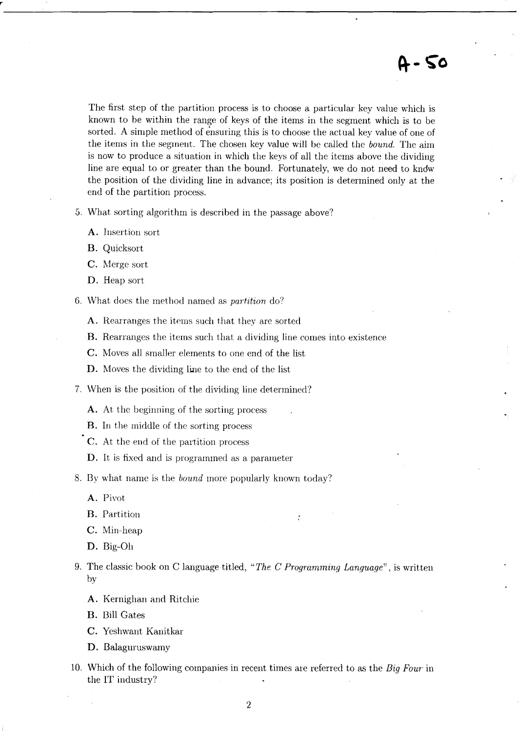The first step of the partition process is to choose a particular key value which is known to be within the range of keys of the items in the segment which is to be sorted. A simple method of ensuring this is to choose the actual key value of one of the items in the segment. The chosen key value will be called the *bound.* The aim is now to produce a situation in which the keys of all the items above the dividing line are equal to or greater than the bound. Fortunately, we do not need to kndw the position of the dividing line in advance; its position is determined only at the end of the partition process.

5. What sorting algorithm is described in the passage above?

- A. Insertion sort
- B. Quicksort
- C. Merge sort
- D. Heap sort
- 6. What does the method named as *partition* do?
	- A. Rearranges the items such that they are sorted
	- B. Rearranges the items such that a dividing line comes into existence
	- C. Moves all smaller elements to one end of the list
	- D. Moves the dividing line to the end of the list
- 7. When is the position of the dividing line determined?
	- A. At the beginning of the sorting process
	- B. In the rniddle of the sorting process
	- C. At the end of the partition process
	- D. It is fixed and is programmed as a parameter
- 8. By what name is the *bound* more popularly known today?
	- A. Pivot
	- B. Partition
	- C. Min-heap
	- D. Big-Oh
- 9. The classic book on C language titled, *"The* C *Prvgmmming Language",* is written by
	- A. Kernighan and Ritchie
	- B. Bill Gates
	- C. Yeshwant Kanitkar
	- D. Balaguruswamy
- 10. Which of the following companies in recent times are referred to as the *Big Four'* in the IT industry?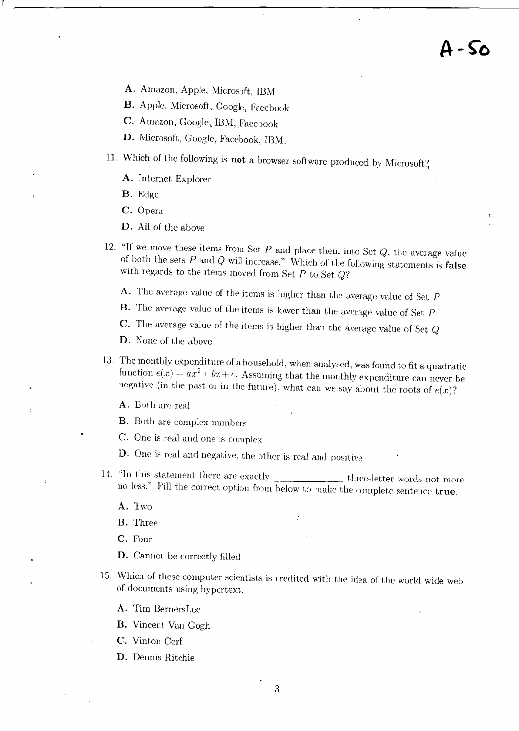# A - 50

- A. Amazon, Apple, Microsoft, IBM
- B. Apple, Microsoft, Google, Facebook
- C. Amazon, Google, IBM, Facebook
- D. Microsoft, Google, Facebook, IBM.
- 11. Which of the following is not a browser software produced by Microsoft?
	- A. Internet Explorer
	- B. Edge
	- C. Opera
	- D. All of the above
- 12. "If we move these items from Set *P* and place them into Set *Q,* the average value of both the sets  $P$  and  $Q$  will increase." Which of the following statements is false with regards to the items moved from Set *P* to Set *Q?* 
	- A. The average value of the items is higher than the average value of Set  $P$
	- B. The average value of the items is lower than the average value of Set *P*
	- C. The average value of the items is higher than the average value of Set Q

D. None of the above

- 13. The monthly expenditure of a household, when analysed, was found to fit a quadratic function  $e(x) = ax^2 + bx + c$ . Assuming that the monthly expenditure can never be negative (in the past or in the future), what can we say about the roots of  $e(x)$ ?
	- A. Both are real
	- B. Both are complex numbers
	- C. One is real and one is complex
	- D. One is real and negative, the other is real and positive
- 14. "In this statement there are exactly three-letter words not more no less." Fill the correct option from below to make the complete sentence true.

A. Two

B. Three

C. Four

- D. Cannot be correctly filled
- 15. Which of these computer scientists is credited with the idea of the world wide web of documents using hypertext.
	- A. Tim BernersLee
	- B. Vincent Van Gogh
	- C. Vinton Cerf
	- D. Dennis Ritchie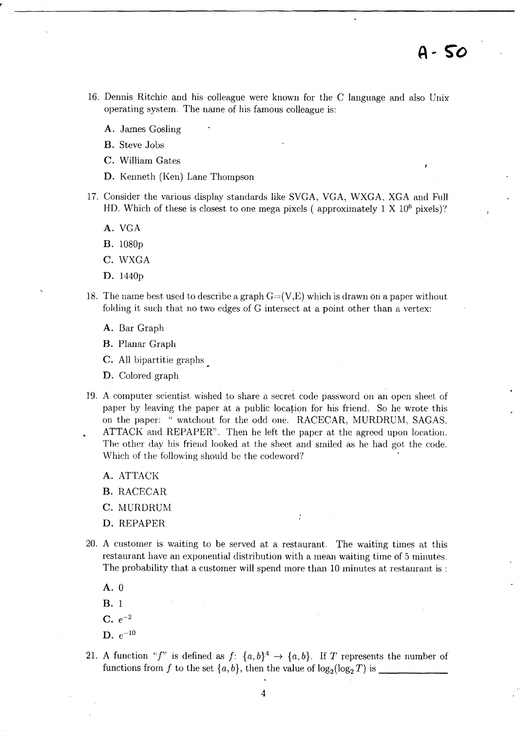- 16. Dennis Ritchie and his colleague were known for the C language and also Unix operating system. The name of his famous colleague is:
	- A. James Gosling

B. Steve Jobs

- C. William Gates
- D. Kenneth (Ken) Lane Thompson
- 17. Consider the various display standards like SVGA, VGA, WXGA, XGA and Full HD. Which of these is closest to one mega pixels (approximately  $1 \times 10^6$  pixels)?
	- A. VGA
	- B. 1080p
	- C. WXGA
	- D. 1440p
- 18. The name best used to describe a graph  $G=(V,E)$  which is drawn on a paper without folding it such that no two edges of G intersect at a point other than a vertex:
	- A. Bar Graph
	- B. Planar Graph
	- C. All bipartitie graphs
	- D. Colored graph
- 19. A computer scientist wished to share a secret code password on an open sheet of paper by leaving the paper at a public location for his friend. So he wrote this on the paper: "watchout for the odd one. RACECAR, MURDRUM, SAGAS, ATTACK and REPAPER". Then he left the paper at the agreed upon location. The other day his friend looked at the sheet and smiled as he had got the code. Which of the following should be the codeword?
	- A. ATTACK

B. RACECAR

- C. MURDRUM
- D. REPAPER
- 20. A customer is waiting to be served at a restaurant. The waiting times at this restaurant have an exponential distribution with a mean waiting time of 5 minutes. The probability that a customer will spend more than 10 minutes at restaurant is :

 $\ddot{\cdot}$ 

- A.O
- B. 1
- $C. e^{-2}$
- **D.**  $e^{-10}$
- 21. A function "f" is defined as  $f: \{a, b\}^4 \rightarrow \{a, b\}$ . If T represents the number of functions from f to the set *{a, b},* then the value of log2(log2 *T)* is \_\_\_\_\_ \_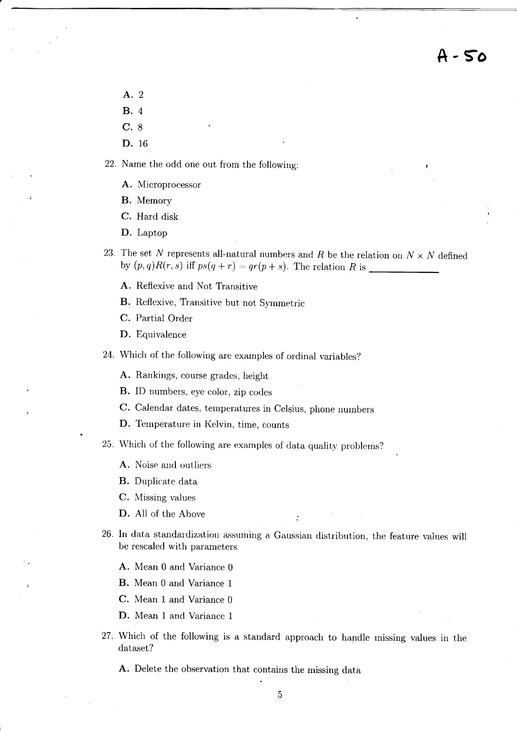**A-S"o** 

- A.2 B. 4
- C. 8
- D. 16
- 22. Name the odd one out from the following:
	- A. Microprocessor
	- B. Memory
	- C. Hard disk
	- D. Laptop
- 23. The set N represents all-natural numbers and R be the relation on  $N \times N$  defined by  $(p, q)R(r, s)$  iff  $ps(q + r) = qr(p + s)$ . The relation R is
	- A. Reflexive and Not Transitive
	- B. Reflexive, Transitive but not Symmetric
	- C. Partial Order
	- D. Equivalence
- 24. Which of the following are examples of ordinal variables?
	- A. Rankings, course grades, height
	- B. ID numbers, eye color, zip codes
	- C. Calendar dates, temperatures in Celsius, phone numbers
	- D. Temperature in Kelvin, time, counts
- 25. Which of the following are examples of data quality problems?
	- A. Noise and outliers
	- B. Duplicate data
	- C. Missing values
	- D. All of the Above
- 26. In data standardization assuming a Gaussian distribution, the feature values will be rescaled with parameters
	- A. Mean 0 and Variance 0
	- B. Mean 0 and Variance 1
	- C. Mean 1 and Variance 0
	- D. Mean 1 and Variance 1
- 27. Which of the following is a standard approach to handle missing values in the dataset?
	- A. Delete the observation that contains the missing data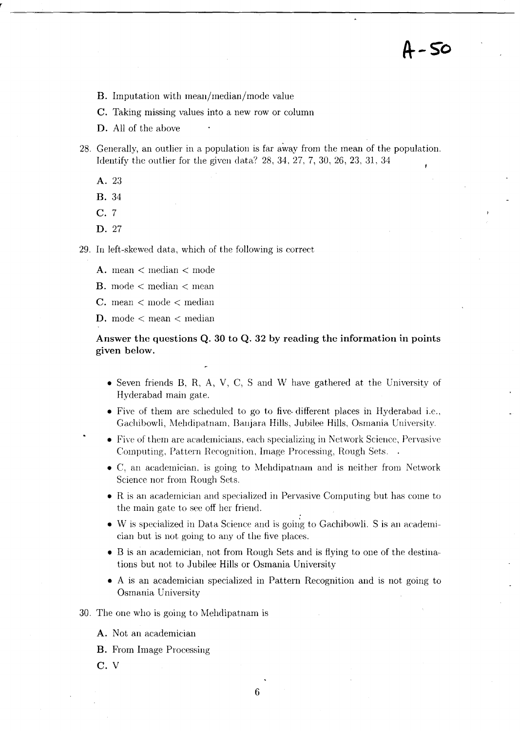**/t- So** 

- B. Imputation with mean/median/mode value
- C. Taking missing values into a new row or column
- D. All of the above
- 28. Generally, an outlier in a population is far away from the mean of the population. Identify the outlier for the given data? 28,34,27,7,30,26,23,31,34
	- A.23
	- B.34
	- C. 7
	- D. 27

29. In left-skewed data, which of the following is correct

- A. mean < median < mode
- B. mode < median < mean
- C. mean < mode < median
- D. mode < mean < median

#### Answer the questions Q. 30 to Q. 32 by reading the information in points given below.

- Seven friends B, R, A, V, C, S and W have gathered at the University of Hyderabad main gate.
- Five of them are scheduled to go to five different places in Hyderabad i.e., Gachibowli, Mehdipatnam, Banjara Hills, Jubilee Hills, Osmania University.
- Five of them are academicians, each specializing in Network Science, Pervasive Computing, Pattern Recognition, Image Processing, Rough Sets.
- C, an academician, is going to Mehdipatnam and is neither from Network Science nor from Rough Sets.
- R is an academician and specialized in Pervasive Computing but has come to the main gate to sec off her friend.
- $\bullet$  W is specialized in Data Science and is going to Gachibowli. S is an academician but is not going to auy of the five places.
- B is an academician, not from Rough Sets and is flying to one of the destinations but not to Jubilee Hills or Osmania University
- A is an academician specialized in Pattern Recognition and is not going to Osmania University

#### 30. The one who is going to Mehdipatnam is

- A. Not an academician
- B. From Image Processing
- C. V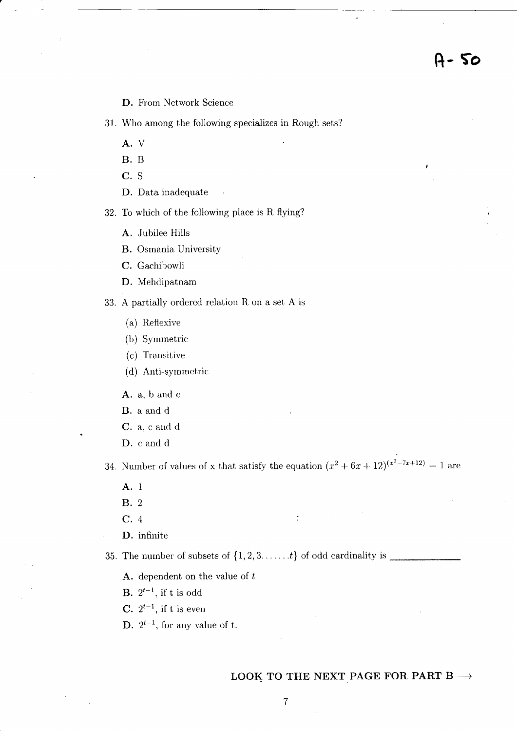D. From Network Science

31. Who among the following specializes in Rough sets?

A. V

B. B

c. S

D. Data inadequate

32. To which of the following place is R flying?

A. Jubilee Hills

B. Osmania University

C. Gachibowli

D. Mehdipatnam

33. A partially ordered relation R on a set A is

(a) Reflexive

(b) Symmetric

 $(c)$  Transitive

(d) Anti-symmetric

A. a, band c

B. a and d

C. a, c and d

D. c and d

34. Number of values of x that satisfy the equation  $(x^2 + 6x + 12)^{(x^2 - 7x + 12)} = 1$  are

 $\ddot{\cdot}$ 

A. 1

B. 2

C. 4

D. infinite

35. The number of subsets of  $\{1, 2, 3, \ldots, t\}$  of odd cardinality is  $\blacksquare$ 

**A.** dependent on the value of  $t$ 

**B.**  $2^{t-1}$ , if t is odd

**C.**  $2^{t-1}$ , if t is even

**D.**  $2^{t-1}$ , for any value of t.

#### LOOK TO THE NEXT PAGE FOR PART B  $\rightarrow$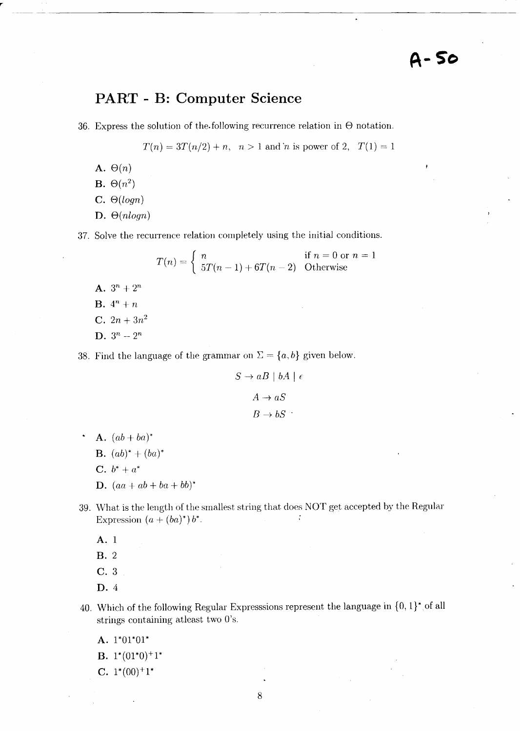## **PART - B: Computer Science**

36. Express the solution of the following recurrence relation in  $\Theta$  notation.

 $T(n) = 3T(n/2) + n$ ,  $n > 1$  and *'n* is power of 2,  $T(1) = 1$ 

------ - -~--------------------,-------------------~

A.  $\Theta(n)$ 

 $\mathbf{B.} \Theta(n^2)$ 

 $C. \Theta(logn)$ 

D.  $\Theta(n \log n)$ 

37. Solve the recurrence relation completely using the initial conditions.

$$
T(n) = \begin{cases} n & \text{if } n = 0 \text{ or } n = 1\\ 5T(n-1) + 6T(n-2) & \text{Otherwise} \end{cases}
$$

A.  $3^n + 2^n$ **B.**  $4^n + n$ **C.**  $2n + 3n^2$ 

**D.**  $3^n - 2^n$ 

38. Find the language of the grammar on  $\Sigma = \{a, b\}$  given below.

$$
S \to aB \mid bA \mid \epsilon
$$

$$
A \to aS
$$

$$
B \to bS
$$

A.  $(ab + ba)^*$ 

$$
\mathbf{B.} \ (ab)^* + (ba)^*
$$

**C.**  $b^* + a^*$ 

**D.**  $(aa + ab + ba + bb)^*$ 

- 39. What is the length of the smallest string that does NOT get accepted by the Regular Expression  $(a + (ba)^*) b^*$ .
	- A. 1

B.2

- C. 3
- D.4
- 40. Which of the following Regular Expresssions represent the language in  $\{0, 1\}^*$  of all strings containing atleast two O's.
	- A. 1\*01\*01\*
	- **B.**  $1^*(01^*0)^+1^*$
	- C.  $1^*(00)^+1^*$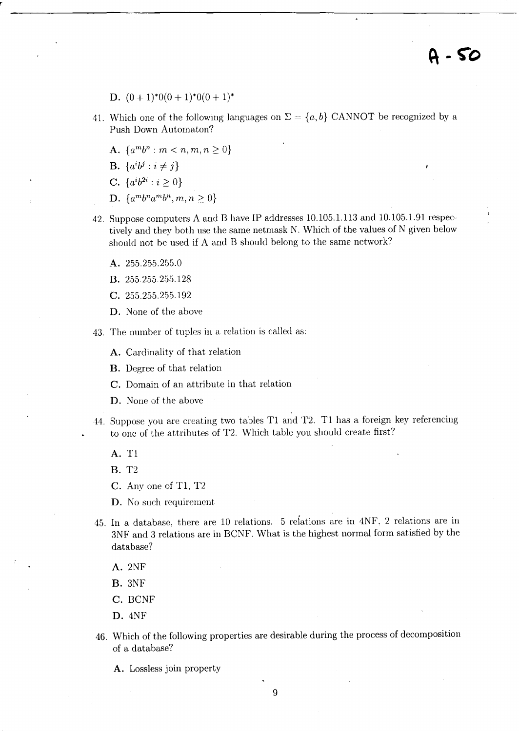- D.  $(0 + 1)^*0(0 + 1)^*0(0 + 1)^*$
- 41. Which one of the following languages on  $\Sigma = \{a, b\}$  CANNOT be recognized by a Push Down Automaton?
	- A.  $\{a^m b^n : m \leq n, m, n \geq 0\}$
	- **B.**  $\{a^i b^j : i \neq j\}$

r

- **C.**  $\{a^i b^{2i} : i \geq 0\}$
- **D.**  $\{a^m b^n a^m b^n, m, n \geq 0\}$
- 42. Suppose computers A and B have IP addresses 10.105.1.113 and 10.105.1.91 respectively and they both use the same net mask N. Which of the values of N given below should not be used if A and B should belong to the same network?
	- A. 255.255.255.0
	- B. 255.255.255.128
	- c. 255.255.255.192
	- D. None of the above

43. The number of tuples in a relation is called as:

A. Cardinality of that relation

B. Degree of that relation

C. Domain of an attribute in that relation

- D. None of the above
- 44. Suppose you are creating two tables Tl and T2. Tl has a foreign key referencing to one of the attributes of T2. Which table you should create first?
	- A. Tl

B. T2

C. Anyone of Tl, T2

D. No such requirement

45. In a database, there are 10 relations. 5 reiations are in 4NF, 2 relations are in 3NF and 3 relations are in BCNF. What is the highest normal form satisfied by the database?

A.2NF

B.3NF

C. BCNF

D.4NF

46. Which of the following properties are desirable during the process of decomposition of a database?

A. Lossless join property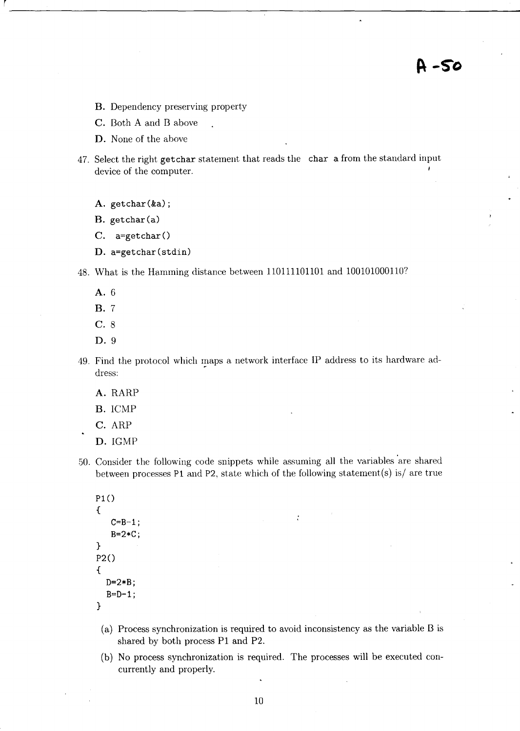A-50

- B. Dependency preserving property
- C. Both A and B above
- **D.** None of the above
- 47. Select the right getchar statement that reads the char a from the standard input device of the computer.
	- A. getchar(&a);
	- $B. getchar(a)$
	- $C.$  a=getchar $()$
	- **D.** a=getchar(stdin)

48. What is the Hamming distance between 110111101101 and 1001010001107

- A.6
- B. 7
- C. 8
- **D.9**
- 49. Find the protocol which maps a network interface IP address to its hardware address:
	- A. RARP
	- B. ICMP
	- C. ARP
	- **D.IGMP**
- 50. Consider the following code snippets while assuming all the variables 'are shared between processes P1 and P2, state which of the following statement(s) is/ are true
	- $P1()$ {  $C = B - 1;$ B=2\*C; }  $P2()$ { }  $D=2*B;$  $B=D-1$ ;
		- (a) Process synchronization is required to avoid inconsistency as the variable B is shared by both process PI and P2.
		- (b) No process synchronization is required. The processes will be executed concurrently and properly.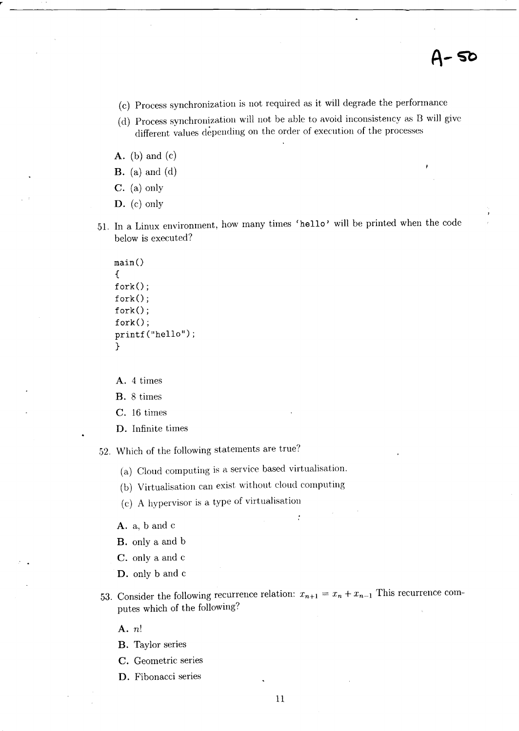- (c) Process synchronization is not required as it will degrade the performance
- (d) Process synchronization will not be able to avoid inconsistency as B will give different values depending on the order of execution of the processes
- $A.$  (b) and (c)
- $\mathbf{B}$ . (a) and (d)
- C. (a) only
- **D.** (c) only
- 51. In a Linux environment, how many times 'hello' will be printed when the code below is executed?

```
main(){ 
fork();
fork();
fork();
fork();
printf("hello"); 
}
```
A. 4 times

- B. 8 times
- c. 16 times
- **D.** Infinite times
- 52. Which of the following statements are true?
	- (a) Cloud computing is a service based virtualisation.
	- (b) Virtualisation can exist without cloud computing
	- (c) A hypervisor is a type of virtualisation
	- A. a, band c
	- B. only a and b
	- c. only a and c
	- **D.** only band c
- 53. Consider the following recurrence relation:  $x_{n+1} = x_n + x_{n-1}$  This recurrence computes which of the following?

 $\cdot$ 

A. *n!* 

- B. Taylor series
- C. Geometric series
- **D.** Fibonacci series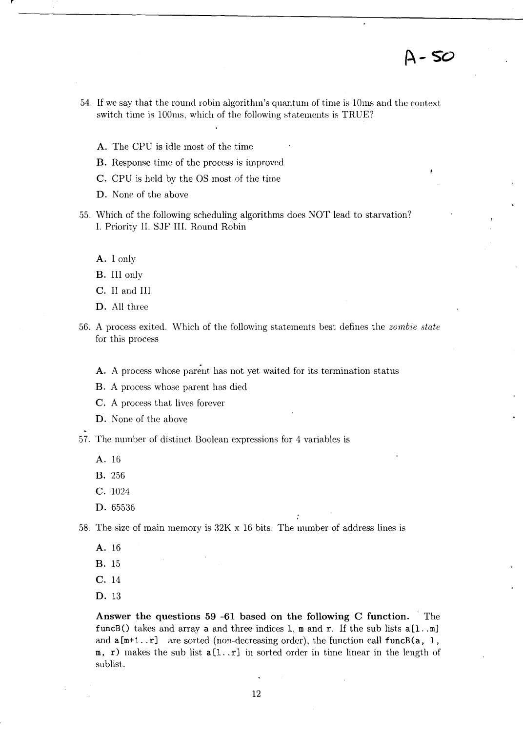*A-SO* 

- 54. If we say that the round robin algorithm's quantum of time is 10ms and the context switch time is 100ms, which of the following statements is TRUE?
	- A. The CPU is idle most of the time
	- B. Response time of the process is improved
	- C. CPU is held by the OS most of the time
	- D. None of the above
- 55. Which of the following scheduling algorithms does NOT lead to starvation? 1. Priority II. SJF III. Round Robin
	- A. I only
	- B. III only
	- C. II and III
	- D. All three
- 56. A process exited. Which of the following statements best defines the *zumbie state*  for this process
	- A. A process whose parent has not yet waited for its termination status
	- B. A process whose parent has died
	- C. A process that lives forever
	- D. None of the above

57. The number of distinct Boolean expressions for 4 variables is

- A. 16
- B. 256
- C. 1024
- D. 65536

58. The size of main memory is 32K x 16 bits. The number of address lines is

- A. 16
- B. 15
- C. 14
- D. 13

Answer the questions 59 -61 based on the following C function. The funcB() takes and array a and three indices 1, m and r. If the sub lists  $a[1..m]$ and  $a[m+1..r]$  are sorted (non-decreasing order), the function call funcB(a, 1,  $m$ , r) makes the sub list  $a[1..r]$  in sorted order in time linear in the length of sublist.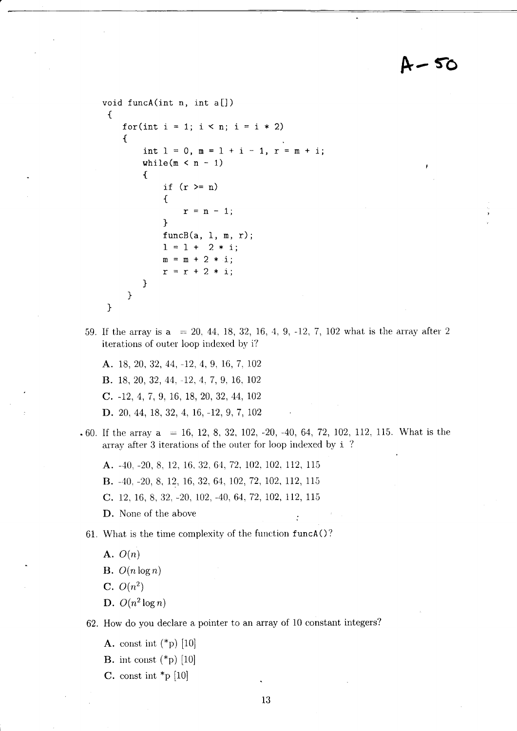# A-50

```
void funcA(int n, int a[J) 
 { 
    for(int i = 1; i < n; i = i * 2)
    { 
        int 1 = 0, m = 1 + i - 1, r = m + i;
     } 
} 
        while(m < n - 1)
        { 
        } 
            if (r \ge n){ 
                 r = n - 1;} 
            funcB(a, 1, m, r);1 = 1 + 2 * i;m = m + 2 * i;r = r + 2 * i;
```
59. If the array is a = 20. 44. 18, 32, 16, 4, 9, -12, 7, 102 what is the array after 2 iterations of outer loop indexed by i?

A. 18, 20, 32, 44, -12, 4, 9, 16, 7, 102 B. 18, 20, 32, 44, -12, 1, 7, 9, 16, 102 C. -12, 4, 7, 9, 16, 18, 20, 32, 44, 102 D. 20, 44, 18, 32, 4, 16, -12, 9, 7, 102

.60. If the array  $a = 16, 12, 8, 32, 102, -20, -40, 64, 72, 102, 112, 115$ . What is the array after 3 iterations of the outer for loop indexed by i 7

A. -40, -20, 8, 12, 16. 32, 6'1, 72. 102. 102, 112, 115

B. -40, -20, 8, 12, 16, 32, 64, 102, 72, 102, 112, 115

C. 12, 16, 8, 32, -20, 102, -40, 64, 72, 102, 112, 115

D. None of the above

61. What is the time complexity of the function funcAO?

A.  $O(n)$ 

B.  $O(n \log n)$ 

 $C. O(n^2)$ 

D.  $O(n^2 \log n)$ 

62. How do you declare a pointer to an array of 10 constant integers?

- A. const int  $({}^*\mathbf{p})$  [10]
- **B.** int const  $({}^*\mathbf{p})$  [10]
- C. const int  $\mathbf{p}$  [10]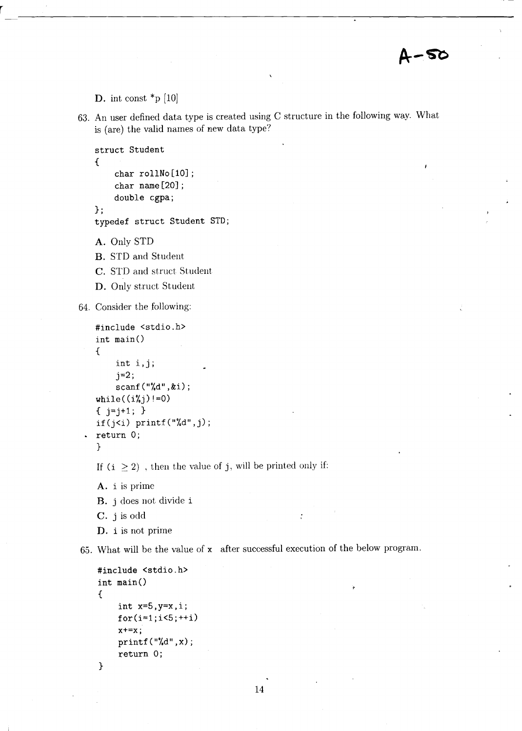D. int const  $*_{p}$  [10]

63. An user defined data type is created using C structure in the following way. What is (are) the valid names of new data type?

```
struct Student 
{ 
}; 
    char rollNo[10] ; 
    char name[20]; 
    double cgpa;
```
typedef struct Student STD;

A. Only STD

B. STD and Student

C. STD and struct Student

D. Only struct Student

64. Consider the following:

```
#include <stdio.h> 
int main()
{ 
    int i,j; 
    j=2;scanf("%d",&i); 
while((i\%j)!=0)
\{j=j+1; \}if(i<i) printf("%d",j);
return 0;
}
```
If  $(i \geq 2)$ , then the value of j, will be printed only if:

A. i is prime B. j does not divide i C. j is odd D. i is not prime

65. What will be the value of x after successful execution of the below program.

 $\mathbf{r}$ 

```
#include <stdio.h> 
int main()
{ 
    int x=5,y=x,i; 
    for(i=1; i<5; ++i)x+=x;printf("%d", x);return 0;
```

```
}
```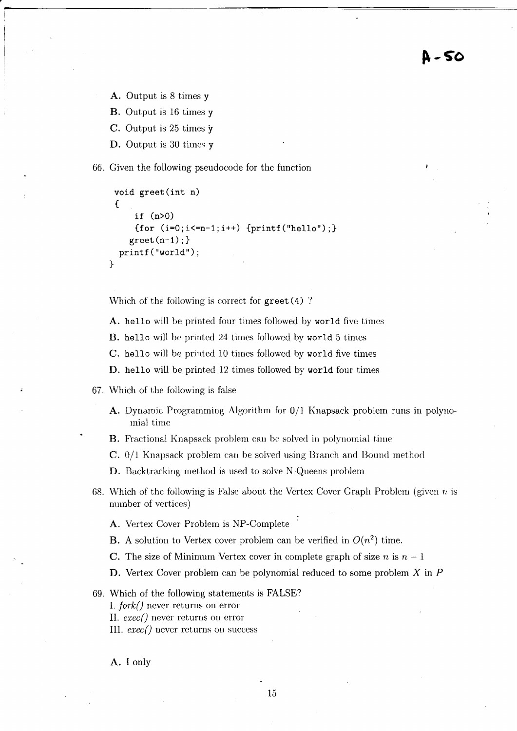A - 50

A. Output is 8 times y

B. Output is 16 times y

C. Output is 25 times 'y

D. Output is 30 times y

66. Given the following pseudocode for the function

```
void greet(int n) 
 { 
     if (n>O) 
     {for (i=0; i<=n-1; i++) {printf("hello");}
    greet(n-1);printf("world");
}
```
Which of the following is correct for greet (4) ?

A. hello will be printed four times followed by world five times

B. hello will he printed 24 times followed by world 5 times

C. hello will be printed 10 times followed by world five times

D. hello will be printed 12 times followed by world four times

- 67. Which of the following is false
	- A. Dynamic Programming Algorithm for D/l Knapsack problem runs in polynomial time
	- **B.** Fractional Knapsack problem can be solved in polynomial time
	- C. 0/1 Knapsack problem can be solved using Branch and Bound method

D. Backtracking method is used to solve N-Queens problem

- 68. Which of the following is False about the Vertex Cover Graph Problem (given  $n$  is number of vertices)
	- A. Vertex Cover Problem is NP-Complete
	- **B.** A solution to Vertex cover problem can be verified in  $O(n^2)$  time.
	- C. The size of Minimum Vertex cover in complete graph of size  $n$  is  $n-1$
	- D. Vertex Cover problem can be polynomial reduced to some problem X in P
- 69. Which of the following statements is FALSE?

1. *fork{}* never returns on error

II. *exec{}* never returns on error

III. *exec{}* never returns on success

A. I only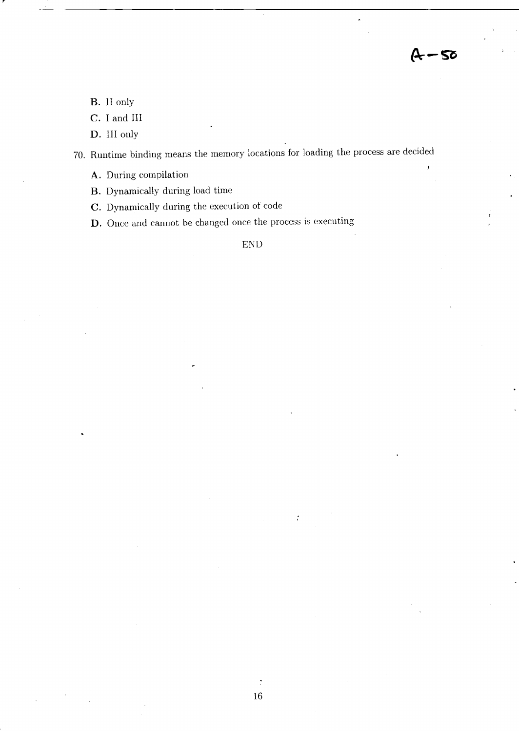$4 - 50$ 

B. II only

C. I and III

D. III only

70. Runtime binding means the memory locations for loading the process are decided

A. During compilation

B. Dynamically during load time

C. Dynamically during the execution of code

D. Once and cannot be changed once the process is executing

END